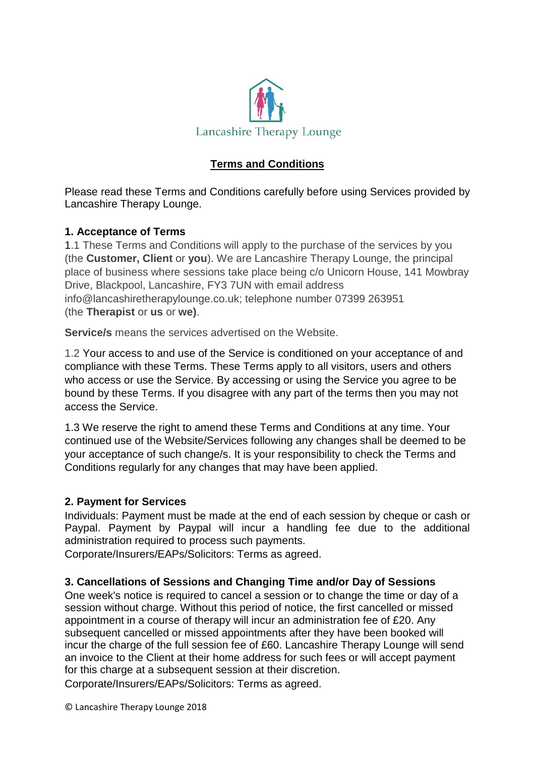

# **Terms and Conditions**

Please read these Terms and Conditions carefully before using Services provided by Lancashire Therapy Lounge.

## **1. Acceptance of Terms**

1.1 These Terms and Conditions will apply to the purchase of the services by you (the **Customer, Client** or **you**). We are Lancashire Therapy Lounge, the principal place of business where sessions take place being c/o Unicorn House, 141 Mowbray Drive, Blackpool, Lancashire, FY3 7UN with email address info@lancashiretherapylounge.co.uk; telephone number 07399 263951 (the **Therapist** or **us** or **we)**.

**Service/s** means the services advertised on the Website.

1.2 Your access to and use of the Service is conditioned on your acceptance of and compliance with these Terms. These Terms apply to all visitors, users and others who access or use the Service. By accessing or using the Service you agree to be bound by these Terms. If you disagree with any part of the terms then you may not access the Service.

1.3 We reserve the right to amend these Terms and Conditions at any time. Your continued use of the Website/Services following any changes shall be deemed to be your acceptance of such change/s. It is your responsibility to check the Terms and Conditions regularly for any changes that may have been applied.

## **2. Payment for Services**

Individuals: Payment must be made at the end of each session by cheque or cash or Paypal. Payment by Paypal will incur a handling fee due to the additional administration required to process such payments.

Corporate/Insurers/EAPs/Solicitors: Terms as agreed.

## **3. Cancellations of Sessions and Changing Time and/or Day of Sessions**

One week's notice is required to cancel a session or to change the time or day of a session without charge. Without this period of notice, the first cancelled or missed appointment in a course of therapy will incur an administration fee of £20. Any subsequent cancelled or missed appointments after they have been booked will incur the charge of the full session fee of £60. Lancashire Therapy Lounge will send an invoice to the Client at their home address for such fees or will accept payment for this charge at a subsequent session at their discretion.

Corporate/Insurers/EAPs/Solicitors: Terms as agreed.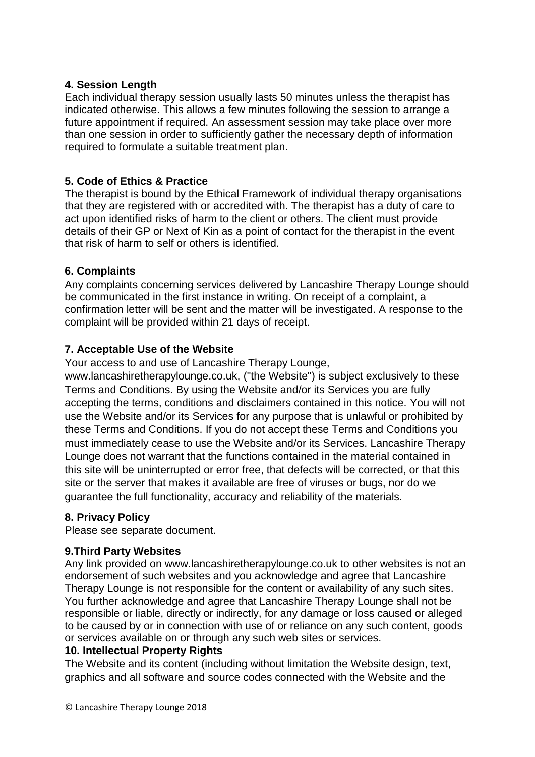## **4. Session Length**

Each individual therapy session usually lasts 50 minutes unless the therapist has indicated otherwise. This allows a few minutes following the session to arrange a future appointment if required. An assessment session may take place over more than one session in order to sufficiently gather the necessary depth of information required to formulate a suitable treatment plan.

## **5. Code of Ethics & Practice**

The therapist is bound by the Ethical Framework of individual therapy organisations that they are registered with or accredited with. The therapist has a duty of care to act upon identified risks of harm to the client or others. The client must provide details of their GP or Next of Kin as a point of contact for the therapist in the event that risk of harm to self or others is identified.

# **6. Complaints**

Any complaints concerning services delivered by Lancashire Therapy Lounge should be communicated in the first instance in writing. On receipt of a complaint, a confirmation letter will be sent and the matter will be investigated. A response to the complaint will be provided within 21 days of receipt.

# **7. Acceptable Use of the Website**

Your access to and use of Lancashire Therapy Lounge,

www.lancashiretherapylounge.co.uk, ("the Website") is subject exclusively to these Terms and Conditions. By using the Website and/or its Services you are fully accepting the terms, conditions and disclaimers contained in this notice. You will not use the Website and/or its Services for any purpose that is unlawful or prohibited by these Terms and Conditions. If you do not accept these Terms and Conditions you must immediately cease to use the Website and/or its Services. Lancashire Therapy Lounge does not warrant that the functions contained in the material contained in this site will be uninterrupted or error free, that defects will be corrected, or that this site or the server that makes it available are free of viruses or bugs, nor do we guarantee the full functionality, accuracy and reliability of the materials.

## **8. Privacy Policy**

Please see separate document.

## **9.Third Party Websites**

Any link provided on www.lancashiretherapylounge.co.uk to other websites is not an endorsement of such websites and you acknowledge and agree that Lancashire Therapy Lounge is not responsible for the content or availability of any such sites. You further acknowledge and agree that Lancashire Therapy Lounge shall not be responsible or liable, directly or indirectly, for any damage or loss caused or alleged to be caused by or in connection with use of or reliance on any such content, goods or services available on or through any such web sites or services.

## **10. Intellectual Property Rights**

The Website and its content (including without limitation the Website design, text, graphics and all software and source codes connected with the Website and the